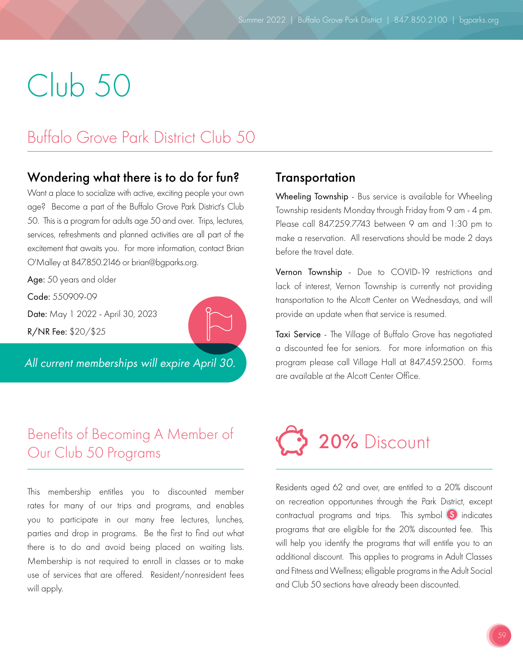# Club 50

# Buffalo Grove Park District Club 50

## Wondering what there is to do for fun?

Want a place to socialize with active, exciting people your own age? Become a part of the Buffalo Grove Park District's Club 50. This is a program for adults age 50 and over. Trips, lectures, services, refreshments and planned activities are all part of the excitement that awaits you. For more information, contact Brian O'Malley at 847.850.2146 or brian@bgparks.org.

Age: 50 years and older

Code: 550909-09

Date: May 1 2022 - April 30, 2023

R/NR Fee: \$20/\$25

*All current memberships will expire April 30.*

## Benefits of Becoming A Member of Our Club 50 Programs

This membership entitles you to discounted member rates for many of our trips and programs, and enables you to participate in our many free lectures, lunches, parties and drop in programs. Be the first to find out what there is to do and avoid being placed on waiting lists. Membership is not required to enroll in classes or to make use of services that are offered. Resident/nonresident fees will apply.

## **Transportation**

Wheeling Township - Bus service is available for Wheeling Township residents Monday through Friday from 9 am - 4 pm. Please call 847.259.7743 between 9 am and 1:30 pm to make a reservation. All reservations should be made 2 days before the travel date.

Vernon Township - Due to COVID-19 restrictions and lack of interest, Vernon Township is currently not providing transportation to the Alcott Center on Wednesdays, and will provide an update when that service is resumed.

Taxi Service - The Village of Buffalo Grove has negotiated a discounted fee for seniors. For more information on this program please call Village Hall at 847.459.2500. Forms are available at the Alcott Center Office.



Residents aged 62 and over, are entitled to a 20% discount on recreation opportunities through the Park District, except contractual programs and trips. This symbol  $\boxed{S}$  indicates programs that are eligible for the 20% discounted fee. This will help you identify the programs that will entitle you to an additional discount. This applies to programs in Adult Classes and Fitness and Wellness; elligable programs in the Adult Social and Club 50 sections have already been discounted.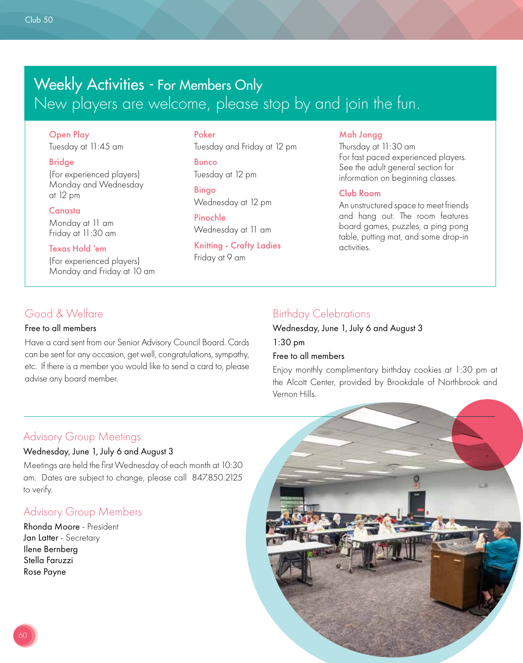# Weekly Activities - For Members Only New players are welcome, please stop by and join the fun.

Open Play Tuesday at 11:45 am

#### Bridge

(For experienced players) Monday and Wednesday at 12 pm

#### Canasta

Monday at 11 am Friday at 11:30 am

#### Texas Hold 'em

(For experienced players) Monday and Friday at 10 am

#### Poker

Tuesday and Friday at 12 pm Bunco Tuesday at 12 pm

Bingo Wednesday at 12 pm

Pinochle Wednesday at 11 am

Knitting - Crafty Ladies Friday at 9 am

#### Mah Jongg

Thursday at 11:30 am For fast paced experienced players. See the adult general section for information on beginning classes.

#### Club Room

An unstructured space to meet friends and hang out. The room features board games, puzzles, a ping pong table, putting mat, and some drop-in activities.

## Good & Welfare

#### Free to all members

Have a card sent from our Senior Advisory Council Board. Cards can be sent for any occasion, get well, congratulations, sympathy, etc. If there is a member you would like to send a card to, please advise any board member.

## Birthday Celebrations

Wednesday, June 1, July 6 and August 3 1:30 pm

#### Free to all members

Enjoy monthly complimentary birthday cookies at 1:30 pm at the Alcott Center, provided by Brookdale of Northbrook and Vernon Hills.

## Advisory Group Meetings

#### Wednesday, June 1, July 6 and August 3

Meetings are held the first Wednesday of each month at 10:30 am. Dates are subject to change, please call 847.850.2125 to verify.

## Advisory Group Members

Rhonda Moore - President Jan Latter - Secretary Ilene Bernberg Stella Faruzzi Rose Payne